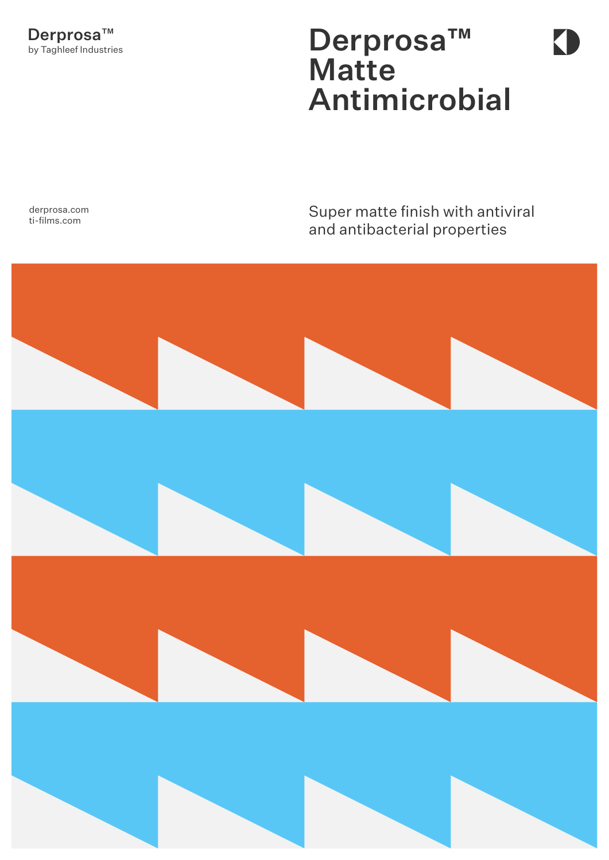## Derprosa™ Matte Antimicrobial

Super matte finish with antiviral and antibacterial properties



derprosa.com ti-films.com